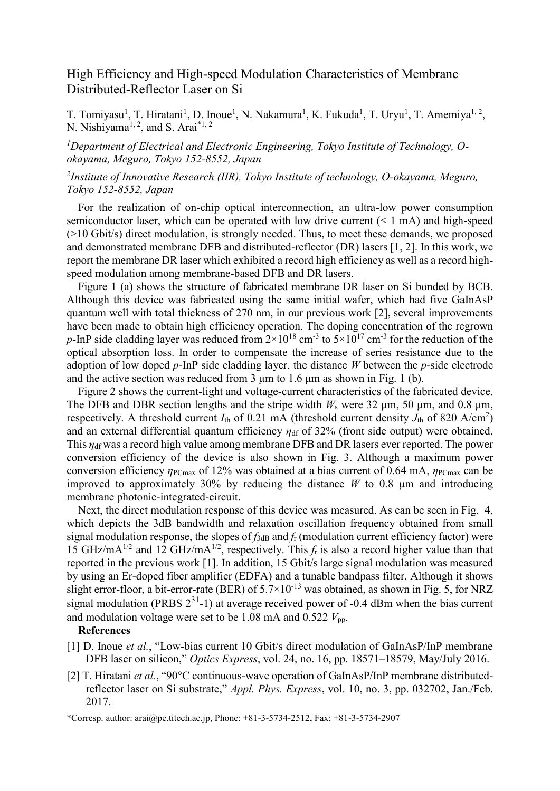# High Efficiency and High-speed Modulation Characteristics of Membrane Distributed-Reflector Laser on Si

T. Tomiyasu<sup>1</sup>, T. Hiratani<sup>1</sup>, D. Inoue<sup>1</sup>, N. Nakamura<sup>1</sup>, K. Fukuda<sup>1</sup>, T. Uryu<sup>1</sup>, T. Amemiya<sup>1, 2</sup>, N. Nishiyama<sup>1, 2</sup>, and S. Arai<sup>\*1, 2</sup>

## *<sup>1</sup>Department of Electrical and Electronic Engineering, Tokyo Institute of Technology, Ookayama, Meguro, Tokyo 152-8552, Japan*

## *2 Institute of Innovative Research (IIR), Tokyo Institute of technology, O-okayama, Meguro, Tokyo 152-8552, Japan*

For the realization of on-chip optical interconnection, an ultra-low power consumption semiconductor laser, which can be operated with low drive current  $(< 1$  mA) and high-speed (>10 Gbit/s) direct modulation, is strongly needed. Thus, to meet these demands, we proposed and demonstrated membrane DFB and distributed-reflector (DR) lasers [1, 2]. In this work, we report the membrane DR laser which exhibited a record high efficiency as well as a record highspeed modulation among membrane-based DFB and DR lasers.

Figure 1 (a) shows the structure of fabricated membrane DR laser on Si bonded by BCB. Although this device was fabricated using the same initial wafer, which had five GaInAsP quantum well with total thickness of 270 nm, in our previous work [2], several improvements have been made to obtain high efficiency operation. The doping concentration of the regrown p-InP side cladding layer was reduced from  $2\times10^{18}$  cm<sup>-3</sup> to  $5\times10^{17}$  cm<sup>-3</sup> for the reduction of the optical absorption loss. In order to compensate the increase of series resistance due to the adoption of low doped *p*-InP side cladding layer, the distance *W* between the *p*-side electrode and the active section was reduced from 3  $\mu$ m to 1.6  $\mu$ m as shown in Fig. 1 (b).

Figure 2 shows the current-light and voltage-current characteristics of the fabricated device. The DFB and DBR section lengths and the stripe width *W*<sup>s</sup> were 32 μm, 50 μm, and 0.8 μm, respectively. A threshold current  $I_{\text{th}}$  of 0.21 mA (threshold current density  $J_{\text{th}}$  of 820 A/cm<sup>2</sup>) and an external differential quantum efficiency  $\eta_{df}$  of 32% (front side output) were obtained. This *η*df was a record high value among membrane DFB and DR lasers ever reported. The power conversion efficiency of the device is also shown in Fig. 3. Although a maximum power conversion efficiency *η*<sub>PCmax</sub> of 12% was obtained at a bias current of 0.64 mA, *η*<sub>PCmax</sub> can be improved to approximately 30% by reducing the distance *W* to 0.8 μm and introducing membrane photonic-integrated-circuit.

Next, the direct modulation response of this device was measured. As can be seen in Fig. 4, which depicts the 3dB bandwidth and relaxation oscillation frequency obtained from small signal modulation response, the slopes of  $f_{3dB}$  and  $f_f$  (modulation current efficiency factor) were 15 GHz/mA<sup>1/2</sup> and 12 GHz/mA<sup>1/2</sup>, respectively. This  $f<sub>r</sub>$  is also a record higher value than that reported in the previous work [1]. In addition, 15 Gbit/s large signal modulation was measured by using an Er-doped fiber amplifier (EDFA) and a tunable bandpass filter. Although it shows slight error-floor, a bit-error-rate (BER) of  $5.7 \times 10^{-13}$  was obtained, as shown in Fig. 5, for NRZ signal modulation (PRBS  $2^{31}$ -1) at average received power of -0.4 dBm when the bias current and modulation voltage were set to be  $1.08 \text{ mA}$  and  $0.522 V_{\text{pp}}$ .

#### **References**

- [1] D. Inoue *et al.*, "Low-bias current 10 Gbit/s direct modulation of GaInAsP/InP membrane DFB laser on silicon," *Optics Express*, vol. 24, no. 16, pp. 18571–18579, May/July 2016.
- [2] T. Hiratani *et al.*, "90°C continuous-wave operation of GaInAsP/InP membrane distributedreflector laser on Si substrate," *Appl. Phys. Express*, vol. 10, no. 3, pp. 032702, Jan./Feb. 2017.

\*Corresp. author: arai@pe.titech.ac.jp, Phone: +81-3-5734-2512, Fax: +81-3-5734-2907